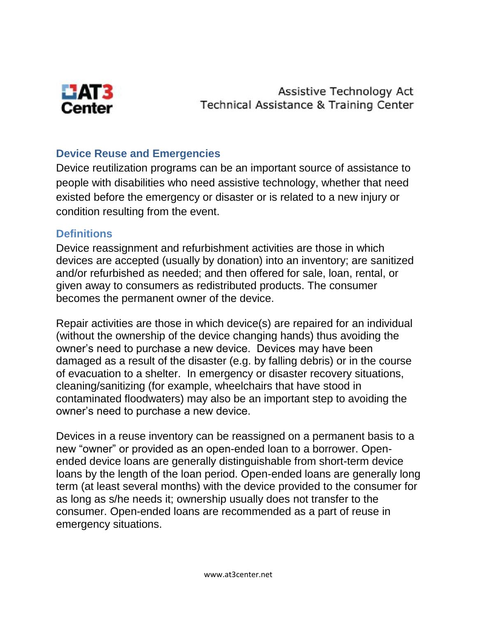

Assistive Technology Act Technical Assistance & Training Center

## **Device Reuse and Emergencies**

Device reutilization programs can be an important source of assistance to people with disabilities who need assistive technology, whether that need existed before the emergency or disaster or is related to a new injury or condition resulting from the event.

## **Definitions**

Device reassignment and refurbishment activities are those in which devices are accepted (usually by donation) into an inventory; are sanitized and/or refurbished as needed; and then offered for sale, loan, rental, or given away to consumers as redistributed products. The consumer becomes the permanent owner of the device.

Repair activities are those in which device(s) are repaired for an individual (without the ownership of the device changing hands) thus avoiding the owner's need to purchase a new device. Devices may have been damaged as a result of the disaster (e.g. by falling debris) or in the course of evacuation to a shelter. In emergency or disaster recovery situations, cleaning/sanitizing (for example, wheelchairs that have stood in contaminated floodwaters) may also be an important step to avoiding the owner's need to purchase a new device.

Devices in a reuse inventory can be reassigned on a permanent basis to a new "owner" or provided as an open-ended loan to a borrower. Openended device loans are generally distinguishable from short-term device loans by the length of the loan period. Open-ended loans are generally long term (at least several months) with the device provided to the consumer for as long as s/he needs it; ownership usually does not transfer to the consumer. Open-ended loans are recommended as a part of reuse in emergency situations.